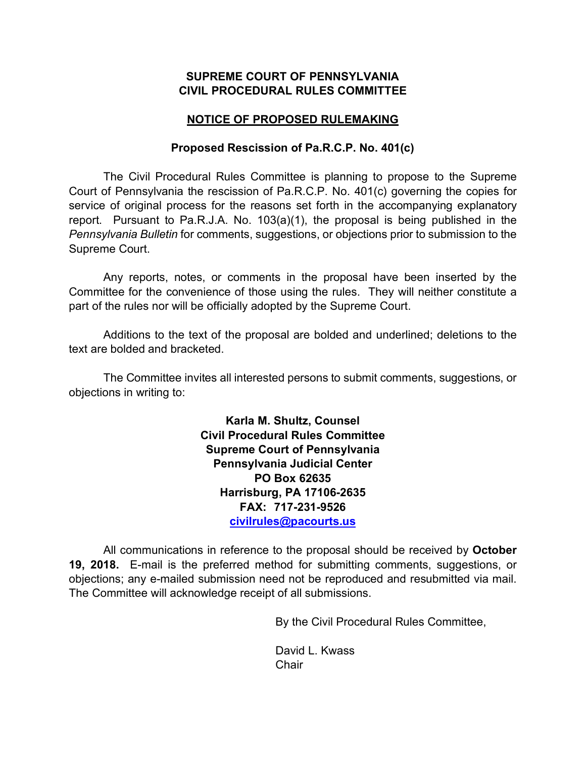### **SUPREME COURT OF PENNSYLVANIA CIVIL PROCEDURAL RULES COMMITTEE**

# **NOTICE OF PROPOSED RULEMAKING**

# **Proposed Rescission of Pa.R.C.P. No. 401(c)**

The Civil Procedural Rules Committee is planning to propose to the Supreme Court of Pennsylvania the rescission of Pa.R.C.P. No. 401(c) governing the copies for service of original process for the reasons set forth in the accompanying explanatory report. Pursuant to Pa.R.J.A. No. 103(a)(1), the proposal is being published in the *Pennsylvania Bulletin* for comments, suggestions, or objections prior to submission to the Supreme Court.

Any reports, notes, or comments in the proposal have been inserted by the Committee for the convenience of those using the rules. They will neither constitute a part of the rules nor will be officially adopted by the Supreme Court.

Additions to the text of the proposal are bolded and underlined; deletions to the text are bolded and bracketed.

The Committee invites all interested persons to submit comments, suggestions, or objections in writing to:

> **Karla M. Shultz, Counsel Civil Procedural Rules Committee Supreme Court of Pennsylvania Pennsylvania Judicial Center PO Box 62635 Harrisburg, PA 17106-2635 FAX: 717-231-9526 civilrules@pacourts.us**

All communications in reference to the proposal should be received by **October 19, 2018.** E-mail is the preferred method for submitting comments, suggestions, or objections; any e-mailed submission need not be reproduced and resubmitted via mail. The Committee will acknowledge receipt of all submissions.

By the Civil Procedural Rules Committee,

David L. Kwass **Chair**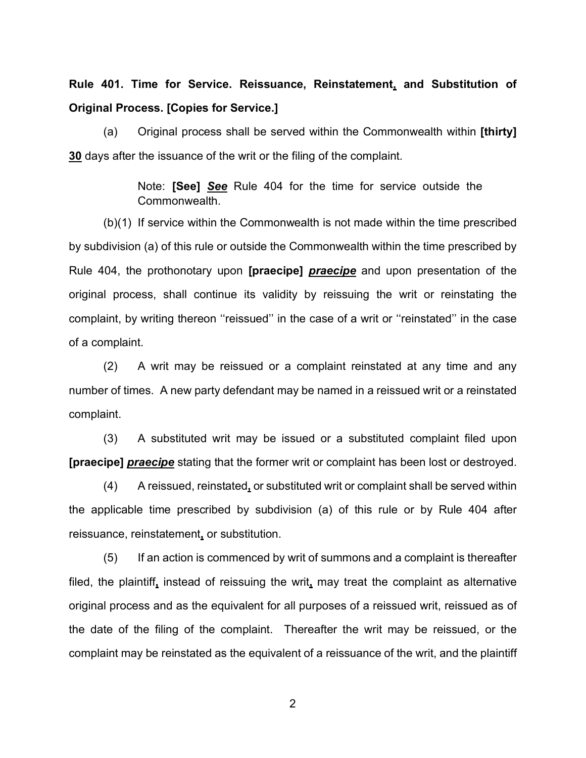**Rule 401. Time for Service. Reissuance, Reinstatement, and Substitution of Original Process. [Copies for Service.]**

(a) Original process shall be served within the Commonwealth within **[thirty] 30** days after the issuance of the writ or the filing of the complaint.

> Note: **[See]** *See* Rule 404 for the time for service outside the Commonwealth.

(b)(1) If service within the Commonwealth is not made within the time prescribed by subdivision (a) of this rule or outside the Commonwealth within the time prescribed by Rule 404, the prothonotary upon **[praecipe]** *praecipe* and upon presentation of the original process, shall continue its validity by reissuing the writ or reinstating the complaint, by writing thereon ''reissued'' in the case of a writ or ''reinstated'' in the case of a complaint.

(2) A writ may be reissued or a complaint reinstated at any time and any number of times. A new party defendant may be named in a reissued writ or a reinstated complaint.

(3) A substituted writ may be issued or a substituted complaint filed upon **[praecipe]** *praecipe* stating that the former writ or complaint has been lost or destroyed.

(4) A reissued, reinstated**,** or substituted writ or complaint shall be served within the applicable time prescribed by subdivision (a) of this rule or by Rule 404 after reissuance, reinstatement**,** or substitution.

(5) If an action is commenced by writ of summons and a complaint is thereafter filed, the plaintiff**,** instead of reissuing the writ**,** may treat the complaint as alternative original process and as the equivalent for all purposes of a reissued writ, reissued as of the date of the filing of the complaint. Thereafter the writ may be reissued, or the complaint may be reinstated as the equivalent of a reissuance of the writ, and the plaintiff

2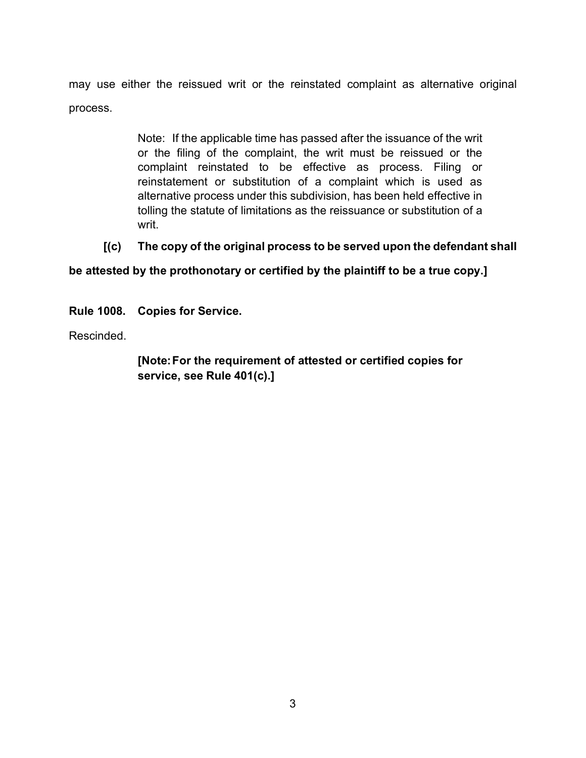may use either the reissued writ or the reinstated complaint as alternative original process.

> Note: If the applicable time has passed after the issuance of the writ or the filing of the complaint, the writ must be reissued or the complaint reinstated to be effective as process. Filing or reinstatement or substitution of a complaint which is used as alternative process under this subdivision, has been held effective in tolling the statute of limitations as the reissuance or substitution of a writ.

# **[(c) The copy of the original process to be served upon the defendant shall**

**be attested by the prothonotary or certified by the plaintiff to be a true copy.]**

**Rule 1008. Copies for Service.**

Rescinded.

**[Note:For the requirement of attested or certified copies for service, see Rule 401(c).]**